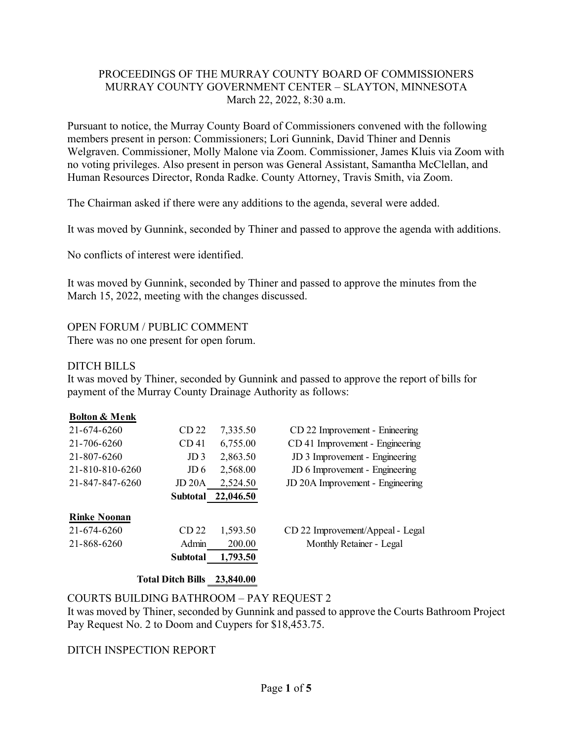### PROCEEDINGS OF THE MURRAY COUNTY BOARD OF COMMISSIONERS MURRAY COUNTY GOVERNMENT CENTER – SLAYTON, MINNESOTA March 22, 2022, 8:30 a.m.

Pursuant to notice, the Murray County Board of Commissioners convened with the following members present in person: Commissioners; Lori Gunnink, David Thiner and Dennis Welgraven. Commissioner, Molly Malone via Zoom. Commissioner, James Kluis via Zoom with no voting privileges. Also present in person was General Assistant, Samantha McClellan, and Human Resources Director, Ronda Radke. County Attorney, Travis Smith, via Zoom.

The Chairman asked if there were any additions to the agenda, several were added.

It was moved by Gunnink, seconded by Thiner and passed to approve the agenda with additions.

No conflicts of interest were identified.

It was moved by Gunnink, seconded by Thiner and passed to approve the minutes from the March 15, 2022, meeting with the changes discussed.

OPEN FORUM / PUBLIC COMMENT

There was no one present for open forum.

## DITCH BILLS

It was moved by Thiner, seconded by Gunnink and passed to approve the report of bills for payment of the Murray County Drainage Authority as follows:

### **Bolton & Menk**

| 21-674-6260         | CD 22            | 7,335.50  | CD 22 Improvement - Enineering   |
|---------------------|------------------|-----------|----------------------------------|
| 21-706-6260         | CD <sub>41</sub> | 6,755.00  | CD 41 Improvement - Engineering  |
| 21-807-6260         | JD <sub>3</sub>  | 2,863.50  | JD 3 Improvement - Engineering   |
| 21-810-810-6260     | JD 6             | 2,568.00  | JD 6 Improvement - Engineering   |
| 21-847-847-6260     | JD 20A           | 2,524.50  | JD 20A Improvement - Engineering |
|                     | Subtotal         | 22,046.50 |                                  |
| <b>Rinke Noonan</b> |                  |           |                                  |
| 21-674-6260         | CD <sub>22</sub> | 1,593.50  | CD 22 Improvement/Appeal - Legal |
| 21-868-6260         | Admin            | 200.00    | Monthly Retainer - Legal         |
|                     |                  |           |                                  |
|                     | <b>Subtotal</b>  | 1,793.50  |                                  |

### **Total Ditch Bills 23,840.00**

# COURTS BUILDING BATHROOM – PAY REQUEST 2

It was moved by Thiner, seconded by Gunnink and passed to approve the Courts Bathroom Project Pay Request No. 2 to Doom and Cuypers for \$18,453.75.

### DITCH INSPECTION REPORT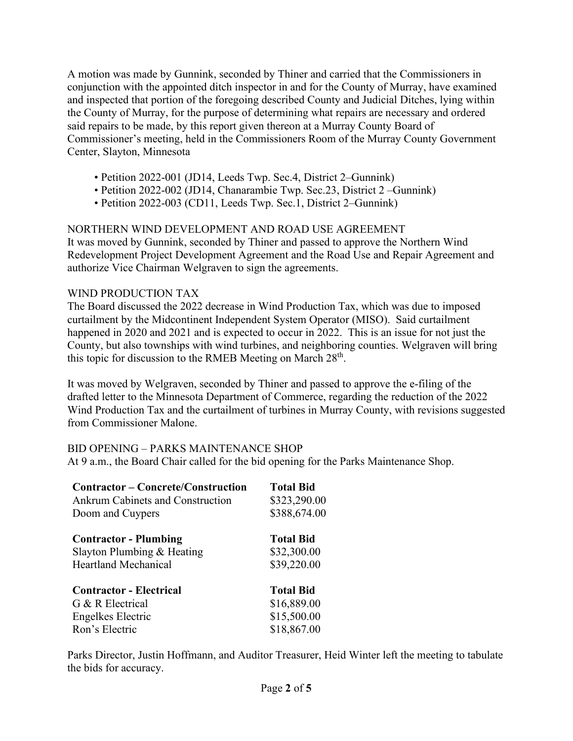A motion was made by Gunnink, seconded by Thiner and carried that the Commissioners in conjunction with the appointed ditch inspector in and for the County of Murray, have examined and inspected that portion of the foregoing described County and Judicial Ditches, lying within the County of Murray, for the purpose of determining what repairs are necessary and ordered said repairs to be made, by this report given thereon at a Murray County Board of Commissioner's meeting, held in the Commissioners Room of the Murray County Government Center, Slayton, Minnesota

- Petition 2022-001 (JD14, Leeds Twp. Sec.4, District 2–Gunnink)
- Petition 2022-002 (JD14, Chanarambie Twp. Sec.23, District 2 –Gunnink)
- Petition 2022-003 (CD11, Leeds Twp. Sec.1, District 2–Gunnink)

## NORTHERN WIND DEVELOPMENT AND ROAD USE AGREEMENT

It was moved by Gunnink, seconded by Thiner and passed to approve the Northern Wind Redevelopment Project Development Agreement and the Road Use and Repair Agreement and authorize Vice Chairman Welgraven to sign the agreements.

### WIND PRODUCTION TAX

The Board discussed the 2022 decrease in Wind Production Tax, which was due to imposed curtailment by the Midcontinent Independent System Operator (MISO). Said curtailment happened in 2020 and 2021 and is expected to occur in 2022. This is an issue for not just the County, but also townships with wind turbines, and neighboring counties. Welgraven will bring this topic for discussion to the RMEB Meeting on March 28<sup>th</sup>.

It was moved by Welgraven, seconded by Thiner and passed to approve the e-filing of the drafted letter to the Minnesota Department of Commerce, regarding the reduction of the 2022 Wind Production Tax and the curtailment of turbines in Murray County, with revisions suggested from Commissioner Malone.

### BID OPENING – PARKS MAINTENANCE SHOP

At 9 a.m., the Board Chair called for the bid opening for the Parks Maintenance Shop.

| Contractor – Concrete/Construction<br>Ankrum Cabinets and Construction<br>Doom and Cuypers | <b>Total Bid</b><br>\$323,290.00<br>\$388,674.00 |
|--------------------------------------------------------------------------------------------|--------------------------------------------------|
| <b>Contractor - Plumbing</b><br>Slayton Plumbing & Heating                                 | <b>Total Bid</b><br>\$32,300.00                  |
| <b>Heartland Mechanical</b>                                                                | \$39,220.00                                      |
| <b>Contractor - Electrical</b>                                                             | <b>Total Bid</b>                                 |
| G & R Electrical                                                                           | \$16,889.00                                      |
| Engelkes Electric                                                                          | \$15,500.00                                      |
| Ron's Electric                                                                             | \$18,867.00                                      |

Parks Director, Justin Hoffmann, and Auditor Treasurer, Heid Winter left the meeting to tabulate the bids for accuracy.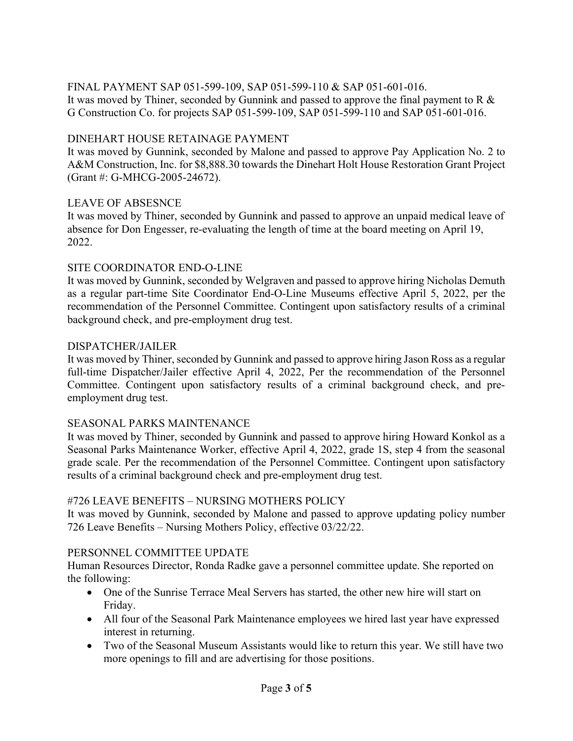#### FINAL PAYMENT SAP 051-599-109, SAP 051-599-110 & SAP 051-601-016. It was moved by Thiner, seconded by Gunnink and passed to approve the final payment to R & G Construction Co. for projects SAP 051-599-109, SAP 051-599-110 and SAP 051-601-016.

# DINEHART HOUSE RETAINAGE PAYMENT

It was moved by Gunnink, seconded by Malone and passed to approve Pay Application No. 2 to A&M Construction, Inc. for \$8,888.30 towards the Dinehart Holt House Restoration Grant Project (Grant #: G-MHCG-2005-24672).

## LEAVE OF ABSESNCE

It was moved by Thiner, seconded by Gunnink and passed to approve an unpaid medical leave of absence for Don Engesser, re-evaluating the length of time at the board meeting on April 19, 2022.

## SITE COORDINATOR END-O-LINE

It was moved by Gunnink, seconded by Welgraven and passed to approve hiring Nicholas Demuth as a regular part-time Site Coordinator End-O-Line Museums effective April 5, 2022, per the recommendation of the Personnel Committee. Contingent upon satisfactory results of a criminal background check, and pre-employment drug test.

### DISPATCHER/JAILER

It was moved by Thiner, seconded by Gunnink and passed to approve hiring Jason Ross as a regular full-time Dispatcher/Jailer effective April 4, 2022, Per the recommendation of the Personnel Committee. Contingent upon satisfactory results of a criminal background check, and preemployment drug test.

### SEASONAL PARKS MAINTENANCE

It was moved by Thiner, seconded by Gunnink and passed to approve hiring Howard Konkol as a Seasonal Parks Maintenance Worker, effective April 4, 2022, grade 1S, step 4 from the seasonal grade scale. Per the recommendation of the Personnel Committee. Contingent upon satisfactory results of a criminal background check and pre-employment drug test.

# #726 LEAVE BENEFITS – NURSING MOTHERS POLICY

It was moved by Gunnink, seconded by Malone and passed to approve updating policy number 726 Leave Benefits – Nursing Mothers Policy, effective 03/22/22.

# PERSONNEL COMMITTEE UPDATE

Human Resources Director, Ronda Radke gave a personnel committee update. She reported on the following:

- One of the Sunrise Terrace Meal Servers has started, the other new hire will start on Friday.
- All four of the Seasonal Park Maintenance employees we hired last year have expressed interest in returning.
- Two of the Seasonal Museum Assistants would like to return this year. We still have two more openings to fill and are advertising for those positions.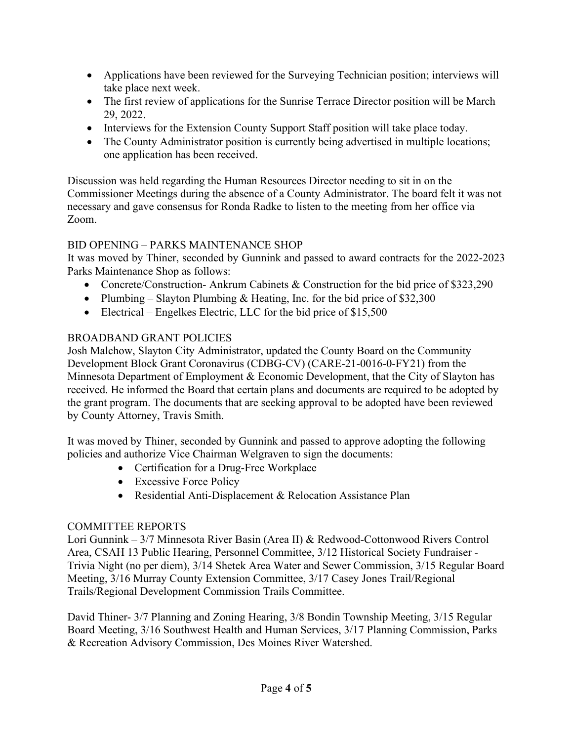- Applications have been reviewed for the Surveying Technician position; interviews will take place next week.
- The first review of applications for the Sunrise Terrace Director position will be March 29, 2022.
- Interviews for the Extension County Support Staff position will take place today.
- The County Administrator position is currently being advertised in multiple locations; one application has been received.

Discussion was held regarding the Human Resources Director needing to sit in on the Commissioner Meetings during the absence of a County Administrator. The board felt it was not necessary and gave consensus for Ronda Radke to listen to the meeting from her office via Zoom.

# BID OPENING – PARKS MAINTENANCE SHOP

It was moved by Thiner, seconded by Gunnink and passed to award contracts for the 2022-2023 Parks Maintenance Shop as follows:

- Concrete/Construction- Ankrum Cabinets & Construction for the bid price of \$323,290
- Plumbing Slayton Plumbing  $&$  Heating, Inc. for the bid price of \$32,300
- Electrical Engelkes Electric, LLC for the bid price of \$15,500

# BROADBAND GRANT POLICIES

Josh Malchow, Slayton City Administrator, updated the County Board on the Community Development Block Grant Coronavirus (CDBG-CV) (CARE-21-0016-0-FY21) from the Minnesota Department of Employment & Economic Development, that the City of Slayton has received. He informed the Board that certain plans and documents are required to be adopted by the grant program. The documents that are seeking approval to be adopted have been reviewed by County Attorney, Travis Smith.

It was moved by Thiner, seconded by Gunnink and passed to approve adopting the following policies and authorize Vice Chairman Welgraven to sign the documents:

- Certification for a Drug-Free Workplace
- Excessive Force Policy
- Residential Anti-Displacement & Relocation Assistance Plan

# COMMITTEE REPORTS

Lori Gunnink – 3/7 Minnesota River Basin (Area II) & Redwood-Cottonwood Rivers Control Area, CSAH 13 Public Hearing, Personnel Committee, 3/12 Historical Society Fundraiser - Trivia Night (no per diem), 3/14 Shetek Area Water and Sewer Commission, 3/15 Regular Board Meeting, 3/16 Murray County Extension Committee, 3/17 Casey Jones Trail/Regional Trails/Regional Development Commission Trails Committee.

David Thiner- 3/7 Planning and Zoning Hearing, 3/8 Bondin Township Meeting, 3/15 Regular Board Meeting, 3/16 Southwest Health and Human Services, 3/17 Planning Commission, Parks & Recreation Advisory Commission, Des Moines River Watershed.